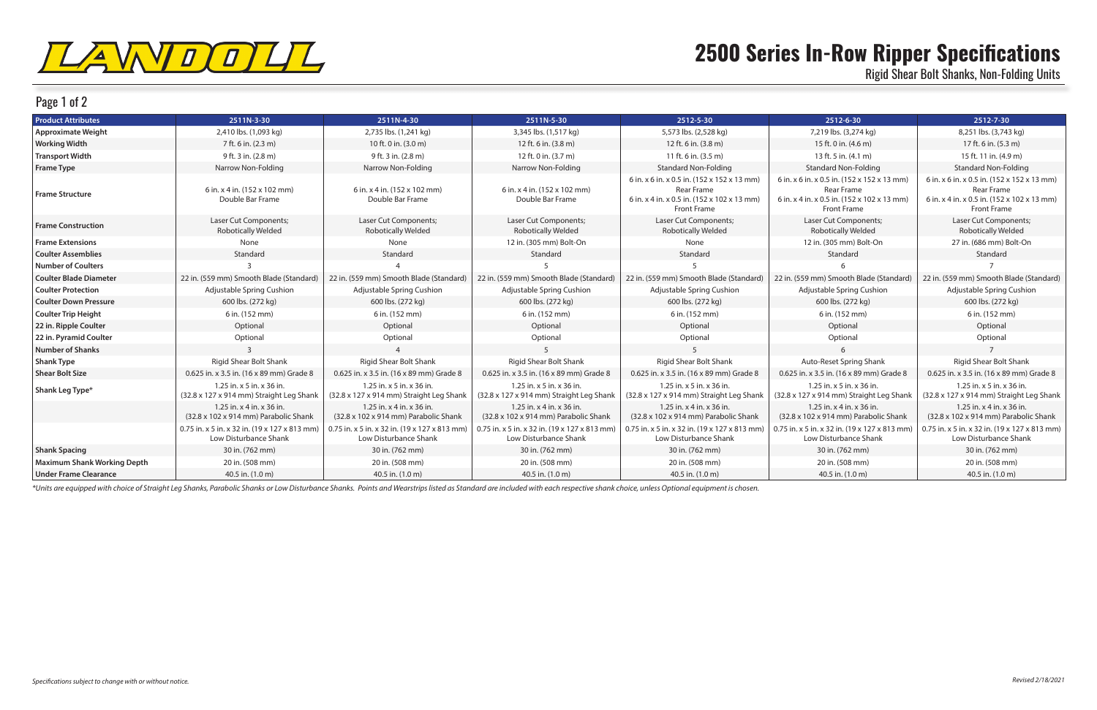

## Page 1 of 2

## **2500 Series In-Row Ripper Specifications** Rigid Shear Bolt Shanks, Non-Folding Units

| <b>Product Attributes</b>          | 2511N-3-30                                                             | 2511N-4-30                                                                       | 2511N-5-30                                                              | 2512-5-30                                                                                                                      | 2512-6-30                                                                                                                      | 2512-7-30                                                                                                                      |
|------------------------------------|------------------------------------------------------------------------|----------------------------------------------------------------------------------|-------------------------------------------------------------------------|--------------------------------------------------------------------------------------------------------------------------------|--------------------------------------------------------------------------------------------------------------------------------|--------------------------------------------------------------------------------------------------------------------------------|
| <b>Approximate Weight</b>          | 2,410 lbs. (1,093 kg)                                                  | 2,735 lbs. (1,241 kg)                                                            | 3,345 lbs. (1,517 kg)                                                   | 5,573 lbs. (2,528 kg)                                                                                                          | 7,219 lbs. (3,274 kg)                                                                                                          | 8,251 lbs. (3,743 kg)                                                                                                          |
| <b>Working Width</b>               | 7 ft. 6 in. (2.3 m)                                                    | 10 ft. 0 in. (3.0 m)                                                             | 12 ft. 6 in. (3.8 m)                                                    | 12 ft. 6 in. (3.8 m)                                                                                                           | 15 ft. 0 in. (4.6 m)                                                                                                           | 17 ft. 6 in. (5.3 m)                                                                                                           |
| <b>Transport Width</b>             | 9 ft. 3 in. (2.8 m)                                                    | 9 ft. 3 in. (2.8 m)                                                              | 12 ft. 0 in. (3.7 m)                                                    | 11 ft. 6 in. $(3.5 \text{ m})$                                                                                                 | 13 ft. 5 in. $(4.1 \text{ m})$                                                                                                 | 15 ft. 11 in. (4.9 m)                                                                                                          |
| <b>Frame Type</b>                  | Narrow Non-Folding                                                     | Narrow Non-Folding                                                               | Narrow Non-Folding                                                      | <b>Standard Non-Folding</b>                                                                                                    | <b>Standard Non-Folding</b>                                                                                                    | <b>Standard Non-Folding</b>                                                                                                    |
| <b>Frame Structure</b>             | 6 in. x 4 in. (152 x 102 mm)<br>Double Bar Frame                       | 6 in. x 4 in. (152 x 102 mm)<br>Double Bar Frame                                 | 6 in. x 4 in. (152 x 102 mm)<br>Double Bar Frame                        | 6 in. x 6 in. x 0.5 in. (152 x 152 x 13 mm)<br><b>Rear Frame</b><br>6 in. x 4 in. x 0.5 in. (152 x 102 x 13 mm)<br>Front Frame | 6 in. x 6 in. x 0.5 in. (152 x 152 x 13 mm)<br>Rear Frame<br>6 in. x 4 in. x 0.5 in. (152 x 102 x 13 mm)<br><b>Front Frame</b> | 6 in. x 6 in. x 0.5 in. (152 x 152 x 13 mm)<br><b>Rear Frame</b><br>6 in. x 4 in. x 0.5 in. (152 x 102 x 13 mm)<br>Front Frame |
| <b>Frame Construction</b>          | Laser Cut Components;<br><b>Robotically Welded</b>                     | Laser Cut Components;<br><b>Robotically Welded</b>                               | Laser Cut Components;<br><b>Robotically Welded</b>                      | Laser Cut Components;<br><b>Robotically Welded</b>                                                                             | Laser Cut Components;<br><b>Robotically Welded</b>                                                                             | Laser Cut Components;<br><b>Robotically Welded</b>                                                                             |
| <b>Frame Extensions</b>            | None                                                                   | None                                                                             | 12 in. (305 mm) Bolt-On                                                 | None                                                                                                                           | 12 in. (305 mm) Bolt-On                                                                                                        | 27 in. (686 mm) Bolt-On                                                                                                        |
| <b>Coulter Assemblies</b>          | Standard                                                               | Standard                                                                         | Standard                                                                | Standard                                                                                                                       | Standard                                                                                                                       | Standard                                                                                                                       |
| <b>Number of Coulters</b>          |                                                                        |                                                                                  |                                                                         |                                                                                                                                |                                                                                                                                |                                                                                                                                |
| <b>Coulter Blade Diameter</b>      | 22 in. (559 mm) Smooth Blade (Standard)                                | 22 in. (559 mm) Smooth Blade (Standard)                                          | 22 in. (559 mm) Smooth Blade (Standard)                                 | 22 in. (559 mm) Smooth Blade (Standard)                                                                                        | 22 in. (559 mm) Smooth Blade (Standard)                                                                                        | 22 in. (559 mm) Smooth Blade (Standard)                                                                                        |
| <b>Coulter Protection</b>          | Adjustable Spring Cushion                                              | Adjustable Spring Cushion                                                        | Adjustable Spring Cushion                                               | Adjustable Spring Cushion                                                                                                      | Adjustable Spring Cushion                                                                                                      | Adjustable Spring Cushion                                                                                                      |
| <b>Coulter Down Pressure</b>       | 600 lbs. (272 kg)                                                      | 600 lbs. (272 kg)                                                                | 600 lbs. (272 kg)                                                       | 600 lbs. (272 kg)                                                                                                              | 600 lbs. (272 kg)                                                                                                              | 600 lbs. (272 kg)                                                                                                              |
| <b>Coulter Trip Height</b>         | 6 in. (152 mm)                                                         | 6 in. (152 mm)                                                                   | 6 in. (152 mm)                                                          | 6 in. (152 mm)                                                                                                                 | 6 in. (152 mm)                                                                                                                 | 6 in. (152 mm)                                                                                                                 |
| 22 in. Ripple Coulter              | Optional                                                               | Optional                                                                         | Optional                                                                | Optional                                                                                                                       | Optional                                                                                                                       | Optional                                                                                                                       |
| 22 in. Pyramid Coulter             | Optional                                                               | Optional                                                                         | Optional                                                                | Optional                                                                                                                       | Optional                                                                                                                       | Optional                                                                                                                       |
| <b>Number of Shanks</b>            |                                                                        |                                                                                  | $5^{\circ}$                                                             |                                                                                                                                |                                                                                                                                | $\overline{7}$                                                                                                                 |
| <b>Shank Type</b>                  | <b>Rigid Shear Bolt Shank</b>                                          | Rigid Shear Bolt Shank                                                           | Rigid Shear Bolt Shank                                                  | Rigid Shear Bolt Shank                                                                                                         | Auto-Reset Spring Shank                                                                                                        | Rigid Shear Bolt Shank                                                                                                         |
| <b>Shear Bolt Size</b>             | 0.625 in. x 3.5 in. (16 x 89 mm) Grade 8                               | 0.625 in. x 3.5 in. (16 x 89 mm) Grade 8                                         | 0.625 in. x 3.5 in. (16 x 89 mm) Grade 8                                | 0.625 in. x 3.5 in. (16 x 89 mm) Grade 8                                                                                       | 0.625 in. x 3.5 in. (16 x 89 mm) Grade 8                                                                                       | 0.625 in. x 3.5 in. (16 x 89 mm) Grade 8                                                                                       |
| Shank Leg Type*                    | 1.25 in. x 5 in. x 36 in.<br>(32.8 x 127 x 914 mm) Straight Leg Shank  | $1.25$ in. x 5 in. x 36 in.<br>(32.8 x 127 x 914 mm) Straight Leg Shank          | $1.25$ in. x 5 in. x 36 in.<br>(32.8 x 127 x 914 mm) Straight Leg Shank | $1.25$ in. x 5 in. x 36 in.<br>(32.8 x 127 x 914 mm) Straight Leg Shank                                                        | $1.25$ in. x 5 in. x 36 in.<br>(32.8 x 127 x 914 mm) Straight Leg Shank                                                        | $1.25$ in. x 5 in. x 36 in.<br>(32.8 x 127 x 914 mm) Straight Leg Shank                                                        |
|                                    | 1.25 in. x 4 in. x 36 in.<br>(32.8 x 102 x 914 mm) Parabolic Shank     | 1.25 in. $\times$ 4 in. $\times$ 36 in.<br>(32.8 x 102 x 914 mm) Parabolic Shank | 1.25 in. $x$ 4 in. $x$ 36 in.<br>(32.8 x 102 x 914 mm) Parabolic Shank  | 1.25 in. $x$ 4 in. $x$ 36 in.<br>(32.8 x 102 x 914 mm) Parabolic Shank                                                         | $1.25$ in. x 4 in. x 36 in.<br>(32.8 x 102 x 914 mm) Parabolic Shank                                                           | $1.25$ in. x 4 in. x 36 in.<br>(32.8 x 102 x 914 mm) Parabolic Shank                                                           |
|                                    | 0.75 in. x 5 in. x 32 in. (19 x 127 x 813 mm)<br>Low Disturbance Shank | 0.75 in. x 5 in. x 32 in. (19 x 127 x 813 mm)<br>Low Disturbance Shank           | 0.75 in. x 5 in. x 32 in. (19 x 127 x 813 mm)<br>Low Disturbance Shank  | 0.75 in. x 5 in. x 32 in. $(19 \times 127 \times 813 \text{ mm})$<br>Low Disturbance Shank                                     | 0.75 in. x 5 in. x 32 in. (19 x 127 x 813 mm<br>Low Disturbance Shank                                                          | 0.75 in. x 5 in. x 32 in. $(19 \times 127 \times 813 \text{ mm})$<br>Low Disturbance Shank                                     |
| <b>Shank Spacing</b>               | 30 in. (762 mm)                                                        | 30 in. (762 mm)                                                                  | 30 in. (762 mm)                                                         | 30 in. (762 mm)                                                                                                                | 30 in. (762 mm)                                                                                                                | 30 in. (762 mm)                                                                                                                |
| <b>Maximum Shank Working Depth</b> | 20 in. (508 mm)                                                        | 20 in. (508 mm)                                                                  | 20 in. (508 mm)                                                         | 20 in. (508 mm)                                                                                                                | 20 in. (508 mm)                                                                                                                | 20 in. (508 mm)                                                                                                                |
| <b>Under Frame Clearance</b>       | 40.5 in. (1.0 m)                                                       | 40.5 in. (1.0 m)                                                                 | 40.5 in. (1.0 m)                                                        | 40.5 in. (1.0 m)                                                                                                               | 40.5 in. (1.0 m)                                                                                                               | 40.5 in. (1.0 m)                                                                                                               |

\*Units are equipped with choice of Straight Leg Shanks, Parabolic Shanks or Low Disturbance Shanks. Points and Wearstrips listed as Standard are included with each respective shank choice, unless Optional equipment is chos